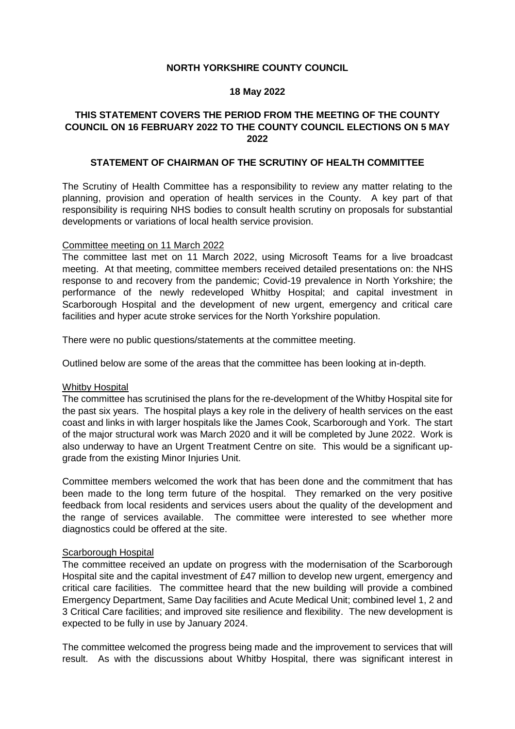# **NORTH YORKSHIRE COUNTY COUNCIL**

## **18 May 2022**

# **THIS STATEMENT COVERS THE PERIOD FROM THE MEETING OF THE COUNTY COUNCIL ON 16 FEBRUARY 2022 TO THE COUNTY COUNCIL ELECTIONS ON 5 MAY 2022**

### **STATEMENT OF CHAIRMAN OF THE SCRUTINY OF HEALTH COMMITTEE**

The Scrutiny of Health Committee has a responsibility to review any matter relating to the planning, provision and operation of health services in the County. A key part of that responsibility is requiring NHS bodies to consult health scrutiny on proposals for substantial developments or variations of local health service provision.

### Committee meeting on 11 March 2022

The committee last met on 11 March 2022, using Microsoft Teams for a live broadcast meeting. At that meeting, committee members received detailed presentations on: the NHS response to and recovery from the pandemic; Covid-19 prevalence in North Yorkshire; the performance of the newly redeveloped Whitby Hospital; and capital investment in Scarborough Hospital and the development of new urgent, emergency and critical care facilities and hyper acute stroke services for the North Yorkshire population.

There were no public questions/statements at the committee meeting.

Outlined below are some of the areas that the committee has been looking at in-depth.

#### Whitby Hospital

The committee has scrutinised the plans for the re-development of the Whitby Hospital site for the past six years. The hospital plays a key role in the delivery of health services on the east coast and links in with larger hospitals like the James Cook, Scarborough and York. The start of the major structural work was March 2020 and it will be completed by June 2022. Work is also underway to have an Urgent Treatment Centre on site. This would be a significant upgrade from the existing Minor Injuries Unit.

Committee members welcomed the work that has been done and the commitment that has been made to the long term future of the hospital. They remarked on the very positive feedback from local residents and services users about the quality of the development and the range of services available. The committee were interested to see whether more diagnostics could be offered at the site.

#### Scarborough Hospital

The committee received an update on progress with the modernisation of the Scarborough Hospital site and the capital investment of £47 million to develop new urgent, emergency and critical care facilities. The committee heard that the new building will provide a combined Emergency Department, Same Day facilities and Acute Medical Unit; combined level 1, 2 and 3 Critical Care facilities; and improved site resilience and flexibility. The new development is expected to be fully in use by January 2024.

The committee welcomed the progress being made and the improvement to services that will result. As with the discussions about Whitby Hospital, there was significant interest in